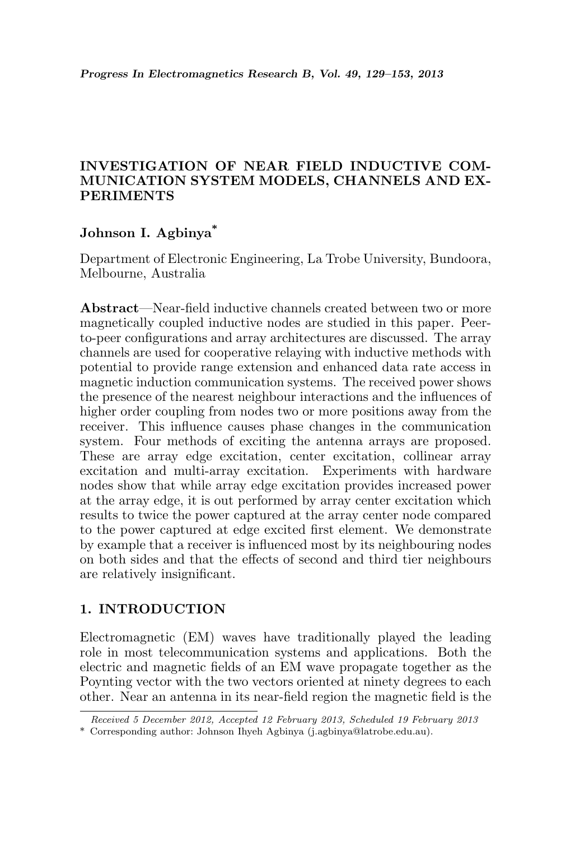## INVESTIGATION OF NEAR FIELD INDUCTIVE COM-MUNICATION SYSTEM MODELS, CHANNELS AND EX-PERIMENTS

# Johnson I. Agbinya\*

Department of Electronic Engineering, La Trobe University, Bundoora, Melbourne, Australia

Abstract—Near-field inductive channels created between two or more magnetically coupled inductive nodes are studied in this paper. Peerto-peer configurations and array architectures are discussed. The array channels are used for cooperative relaying with inductive methods with potential to provide range extension and enhanced data rate access in magnetic induction communication systems. The received power shows the presence of the nearest neighbour interactions and the influences of higher order coupling from nodes two or more positions away from the receiver. This influence causes phase changes in the communication system. Four methods of exciting the antenna arrays are proposed. These are array edge excitation, center excitation, collinear array excitation and multi-array excitation. Experiments with hardware nodes show that while array edge excitation provides increased power at the array edge, it is out performed by array center excitation which results to twice the power captured at the array center node compared to the power captured at edge excited first element. We demonstrate by example that a receiver is influenced most by its neighbouring nodes on both sides and that the effects of second and third tier neighbours are relatively insignificant.

## 1. INTRODUCTION

Electromagnetic (EM) waves have traditionally played the leading role in most telecommunication systems and applications. Both the electric and magnetic fields of an EM wave propagate together as the Poynting vector with the two vectors oriented at ninety degrees to each other. Near an antenna in its near-field region the magnetic field is the

Received 5 December 2012, Accepted 12 February 2013, Scheduled 19 February 2013

<sup>\*</sup> Corresponding author: Johnson Ihyeh Agbinya (j.agbinya@latrobe.edu.au).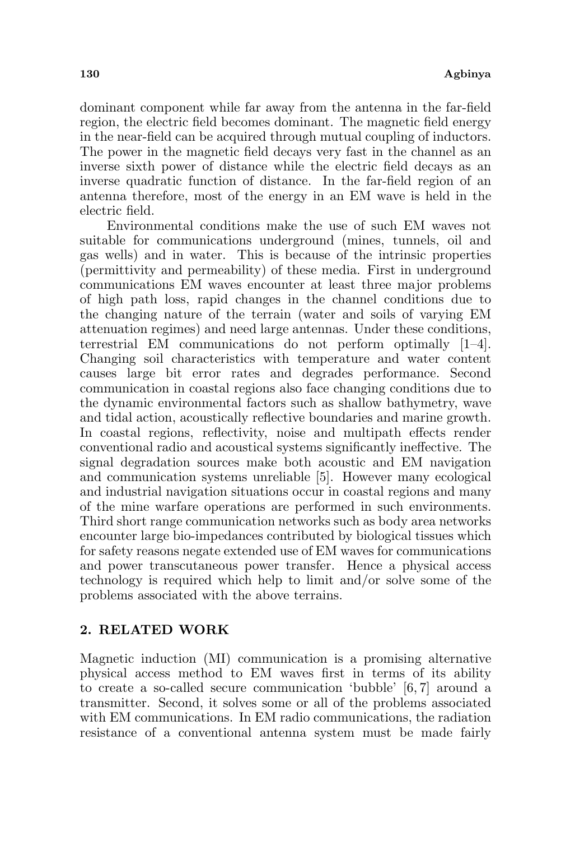dominant component while far away from the antenna in the far-field region, the electric field becomes dominant. The magnetic field energy in the near-field can be acquired through mutual coupling of inductors. The power in the magnetic field decays very fast in the channel as an inverse sixth power of distance while the electric field decays as an inverse quadratic function of distance. In the far-field region of an antenna therefore, most of the energy in an EM wave is held in the electric field.

Environmental conditions make the use of such EM waves not suitable for communications underground (mines, tunnels, oil and gas wells) and in water. This is because of the intrinsic properties (permittivity and permeability) of these media. First in underground communications EM waves encounter at least three major problems of high path loss, rapid changes in the channel conditions due to the changing nature of the terrain (water and soils of varying EM attenuation regimes) and need large antennas. Under these conditions, terrestrial EM communications do not perform optimally [1–4]. Changing soil characteristics with temperature and water content causes large bit error rates and degrades performance. Second communication in coastal regions also face changing conditions due to the dynamic environmental factors such as shallow bathymetry, wave and tidal action, acoustically reflective boundaries and marine growth. In coastal regions, reflectivity, noise and multipath effects render conventional radio and acoustical systems significantly ineffective. The signal degradation sources make both acoustic and EM navigation and communication systems unreliable [5]. However many ecological and industrial navigation situations occur in coastal regions and many of the mine warfare operations are performed in such environments. Third short range communication networks such as body area networks encounter large bio-impedances contributed by biological tissues which for safety reasons negate extended use of EM waves for communications and power transcutaneous power transfer. Hence a physical access technology is required which help to limit and/or solve some of the problems associated with the above terrains.

## 2. RELATED WORK

Magnetic induction (MI) communication is a promising alternative physical access method to EM waves first in terms of its ability to create a so-called secure communication 'bubble' [6, 7] around a transmitter. Second, it solves some or all of the problems associated with EM communications. In EM radio communications, the radiation resistance of a conventional antenna system must be made fairly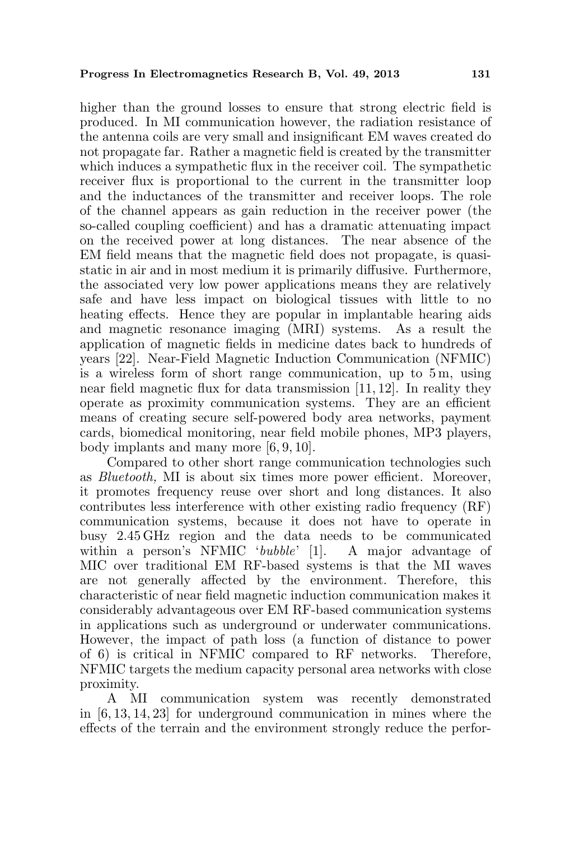higher than the ground losses to ensure that strong electric field is produced. In MI communication however, the radiation resistance of the antenna coils are very small and insignificant EM waves created do not propagate far. Rather a magnetic field is created by the transmitter which induces a sympathetic flux in the receiver coil. The sympathetic receiver flux is proportional to the current in the transmitter loop and the inductances of the transmitter and receiver loops. The role of the channel appears as gain reduction in the receiver power (the so-called coupling coefficient) and has a dramatic attenuating impact on the received power at long distances. The near absence of the EM field means that the magnetic field does not propagate, is quasistatic in air and in most medium it is primarily diffusive. Furthermore, the associated very low power applications means they are relatively safe and have less impact on biological tissues with little to no heating effects. Hence they are popular in implantable hearing aids and magnetic resonance imaging (MRI) systems. As a result the application of magnetic fields in medicine dates back to hundreds of years [22]. Near-Field Magnetic Induction Communication (NFMIC) is a wireless form of short range communication, up to 5 m, using near field magnetic flux for data transmission [11, 12]. In reality they operate as proximity communication systems. They are an efficient means of creating secure self-powered body area networks, payment cards, biomedical monitoring, near field mobile phones, MP3 players, body implants and many more [6, 9, 10].

Compared to other short range communication technologies such as Bluetooth, MI is about six times more power efficient. Moreover, it promotes frequency reuse over short and long distances. It also contributes less interference with other existing radio frequency (RF) communication systems, because it does not have to operate in busy 2.45 GHz region and the data needs to be communicated within a person's NFMIC 'bubble' [1]. A major advantage of MIC over traditional EM RF-based systems is that the MI waves are not generally affected by the environment. Therefore, this characteristic of near field magnetic induction communication makes it considerably advantageous over EM RF-based communication systems in applications such as underground or underwater communications. However, the impact of path loss (a function of distance to power of 6) is critical in NFMIC compared to RF networks. Therefore, NFMIC targets the medium capacity personal area networks with close proximity.

A MI communication system was recently demonstrated in [6, 13, 14, 23] for underground communication in mines where the effects of the terrain and the environment strongly reduce the perfor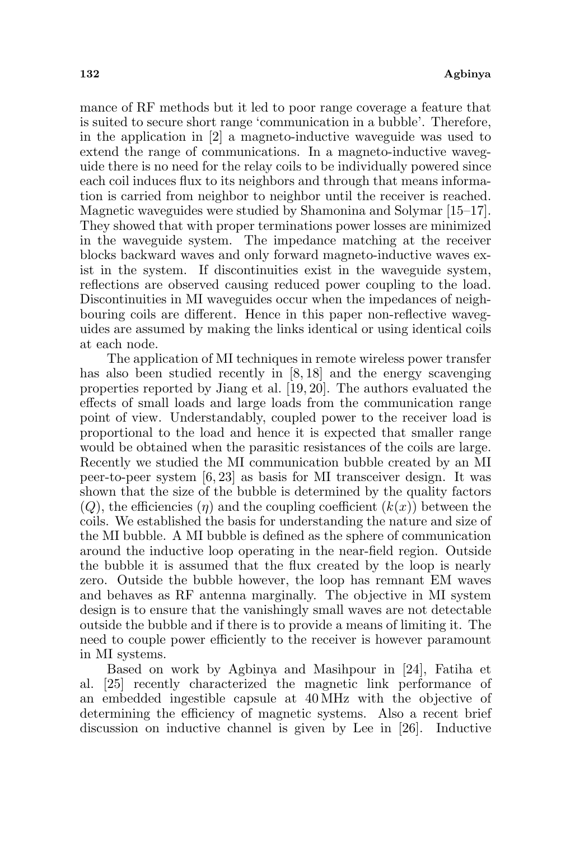mance of RF methods but it led to poor range coverage a feature that is suited to secure short range 'communication in a bubble'. Therefore, in the application in [2] a magneto-inductive waveguide was used to extend the range of communications. In a magneto-inductive waveguide there is no need for the relay coils to be individually powered since each coil induces flux to its neighbors and through that means information is carried from neighbor to neighbor until the receiver is reached. Magnetic waveguides were studied by Shamonina and Solymar [15–17]. They showed that with proper terminations power losses are minimized in the waveguide system. The impedance matching at the receiver blocks backward waves and only forward magneto-inductive waves exist in the system. If discontinuities exist in the waveguide system, reflections are observed causing reduced power coupling to the load. Discontinuities in MI waveguides occur when the impedances of neighbouring coils are different. Hence in this paper non-reflective waveguides are assumed by making the links identical or using identical coils at each node.

The application of MI techniques in remote wireless power transfer has also been studied recently in [8, 18] and the energy scavenging properties reported by Jiang et al. [19, 20]. The authors evaluated the effects of small loads and large loads from the communication range point of view. Understandably, coupled power to the receiver load is proportional to the load and hence it is expected that smaller range would be obtained when the parasitic resistances of the coils are large. Recently we studied the MI communication bubble created by an MI peer-to-peer system [6, 23] as basis for MI transceiver design. It was shown that the size of the bubble is determined by the quality factors  $(Q)$ , the efficiencies  $(\eta)$  and the coupling coefficient  $(k(x))$  between the coils. We established the basis for understanding the nature and size of the MI bubble. A MI bubble is defined as the sphere of communication around the inductive loop operating in the near-field region. Outside the bubble it is assumed that the flux created by the loop is nearly zero. Outside the bubble however, the loop has remnant EM waves and behaves as RF antenna marginally. The objective in MI system design is to ensure that the vanishingly small waves are not detectable outside the bubble and if there is to provide a means of limiting it. The need to couple power efficiently to the receiver is however paramount in MI systems.

Based on work by Agbinya and Masihpour in [24], Fatiha et al. [25] recently characterized the magnetic link performance of an embedded ingestible capsule at 40 MHz with the objective of determining the efficiency of magnetic systems. Also a recent brief discussion on inductive channel is given by Lee in [26]. Inductive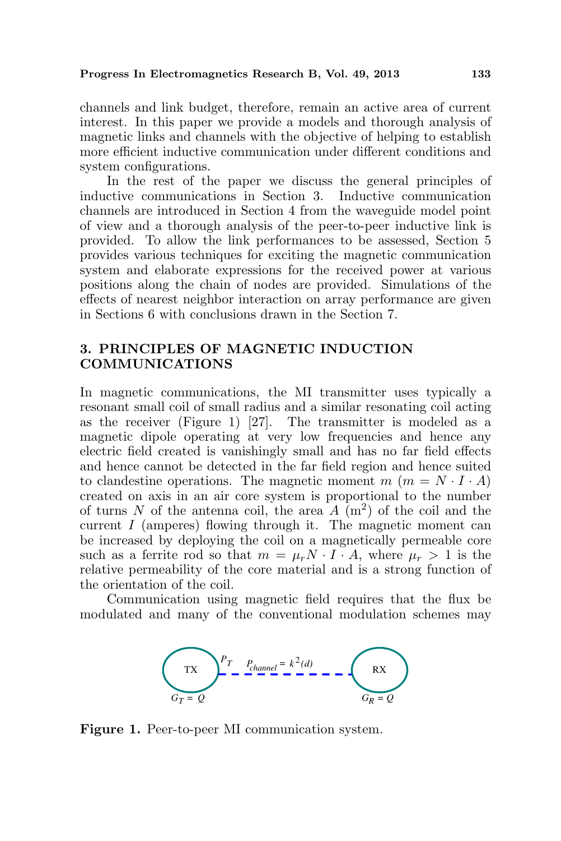channels and link budget, therefore, remain an active area of current interest. In this paper we provide a models and thorough analysis of magnetic links and channels with the objective of helping to establish more efficient inductive communication under different conditions and system configurations.

In the rest of the paper we discuss the general principles of inductive communications in Section 3. Inductive communication channels are introduced in Section 4 from the waveguide model point of view and a thorough analysis of the peer-to-peer inductive link is provided. To allow the link performances to be assessed, Section 5 provides various techniques for exciting the magnetic communication system and elaborate expressions for the received power at various positions along the chain of nodes are provided. Simulations of the effects of nearest neighbor interaction on array performance are given in Sections 6 with conclusions drawn in the Section 7.

## 3. PRINCIPLES OF MAGNETIC INDUCTION COMMUNICATIONS

In magnetic communications, the MI transmitter uses typically a resonant small coil of small radius and a similar resonating coil acting as the receiver (Figure 1) [27]. The transmitter is modeled as a magnetic dipole operating at very low frequencies and hence any electric field created is vanishingly small and has no far field effects and hence cannot be detected in the far field region and hence suited to clandestine operations. The magnetic moment  $m$   $(m = N \cdot I \cdot A)$ created on axis in an air core system is proportional to the number of turns N of the antenna coil, the area  $A(m^2)$  of the coil and the current I (amperes) flowing through it. The magnetic moment can be increased by deploying the coil on a magnetically permeable core such as a ferrite rod so that  $m = \mu_r N \cdot I \cdot A$ , where  $\mu_r > 1$  is the relative permeability of the core material and is a strong function of the orientation of the coil.

Communication using magnetic field requires that the flux be modulated and many of the conventional modulation schemes may



Figure 1. Peer-to-peer MI communication system.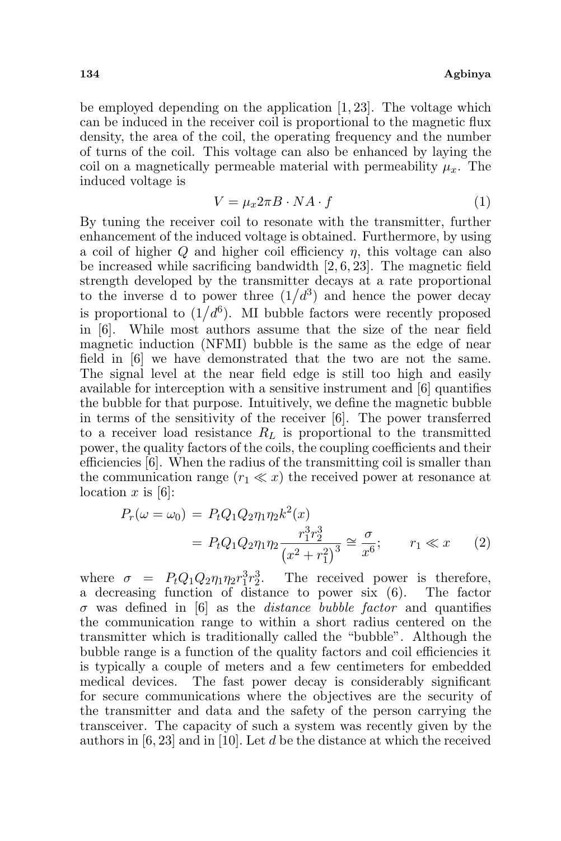be employed depending on the application [1, 23]. The voltage which can be induced in the receiver coil is proportional to the magnetic flux density, the area of the coil, the operating frequency and the number of turns of the coil. This voltage can also be enhanced by laying the coil on a magnetically permeable material with permeability  $\mu_r$ . The induced voltage is

$$
V = \mu_x 2\pi B \cdot NA \cdot f \tag{1}
$$

By tuning the receiver coil to resonate with the transmitter, further enhancement of the induced voltage is obtained. Furthermore, by using a coil of higher  $Q$  and higher coil efficiency  $\eta$ , this voltage can also be increased while sacrificing bandwidth [2, 6, 23]. The magnetic field strength developed by the transmitter decays at a rate proportional strength developed by the transmitter decays at a rate proportional<br>to the inverse d to power three  $(1/d^3)$  and hence the power decay to the inverse a to power time  $(1/a^2)$  and hence the power decay<br>is proportional to  $(1/d^6)$ . MI bubble factors were recently proposed in [6]. While most authors assume that the size of the near field magnetic induction (NFMI) bubble is the same as the edge of near field in [6] we have demonstrated that the two are not the same. The signal level at the near field edge is still too high and easily available for interception with a sensitive instrument and [6] quantifies the bubble for that purpose. Intuitively, we define the magnetic bubble in terms of the sensitivity of the receiver [6]. The power transferred to a receiver load resistance  $R_L$  is proportional to the transmitted power, the quality factors of the coils, the coupling coefficients and their efficiencies [6]. When the radius of the transmitting coil is smaller than the communication range  $(r_1 \ll x)$  the received power at resonance at location  $x$  is [6]:

$$
P_r(\omega = \omega_0) = P_t Q_1 Q_2 \eta_1 \eta_2 k^2(x)
$$
  
=  $P_t Q_1 Q_2 \eta_1 \eta_2 \frac{r_1^3 r_2^3}{(x^2 + r_1^2)^3} \approx \frac{\sigma}{x^6}; \qquad r_1 \ll x$  (2)

where  $\sigma = P_t Q_1 Q_2 \eta_1 \eta_2 r_1^3 r_2^3$ . The received power is therefore, a decreasing function of distance to power six (6). The factor  $\sigma$  was defined in [6] as the *distance bubble factor* and quantifies the communication range to within a short radius centered on the transmitter which is traditionally called the "bubble". Although the bubble range is a function of the quality factors and coil efficiencies it is typically a couple of meters and a few centimeters for embedded medical devices. The fast power decay is considerably significant for secure communications where the objectives are the security of the transmitter and data and the safety of the person carrying the transceiver. The capacity of such a system was recently given by the authors in  $[6, 23]$  and in [10]. Let d be the distance at which the received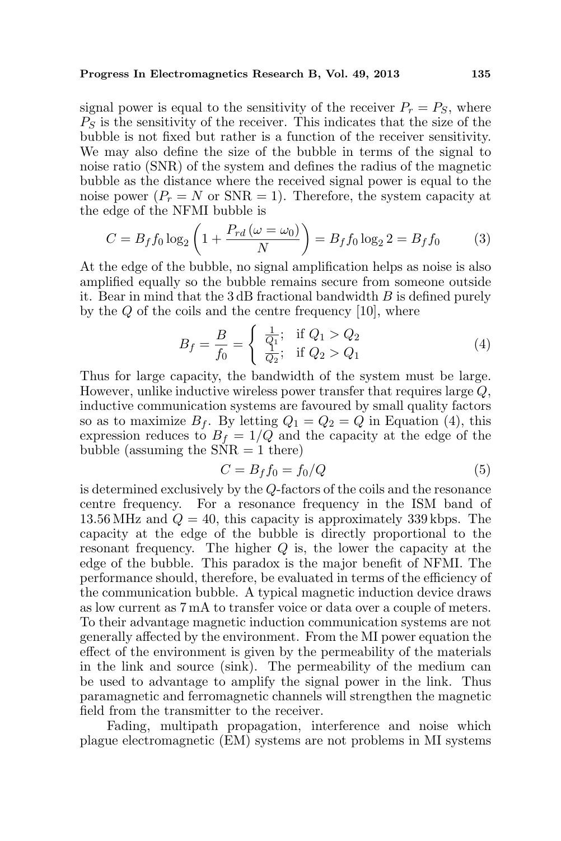signal power is equal to the sensitivity of the receiver  $P_r = P_S$ , where  $P<sub>S</sub>$  is the sensitivity of the receiver. This indicates that the size of the bubble is not fixed but rather is a function of the receiver sensitivity. We may also define the size of the bubble in terms of the signal to noise ratio (SNR) of the system and defines the radius of the magnetic bubble as the distance where the received signal power is equal to the noise power  $(P_r = N \text{ or } SNR = 1)$ . Therefore, the system capacity at the edge of the NFMI bubble is  $\mathbf{r}$ 

$$
C = B_f f_0 \log_2 \left( 1 + \frac{P_{rd} \left( \omega = \omega_0 \right)}{N} \right) = B_f f_0 \log_2 2 = B_f f_0 \tag{3}
$$

At the edge of the bubble, no signal amplification helps as noise is also amplified equally so the bubble remains secure from someone outside it. Bear in mind that the  $3 \text{ dB}$  fractional bandwidth  $B$  is defined purely by the Q of the coils and the centre frequency [10], where

$$
B_f = \frac{B}{f_0} = \begin{cases} \frac{1}{Q_1}; & \text{if } Q_1 > Q_2\\ \frac{1}{Q_2}; & \text{if } Q_2 > Q_1 \end{cases}
$$
 (4)

Thus for large capacity, the bandwidth of the system must be large. However, unlike inductive wireless power transfer that requires large Q, inductive communication systems are favoured by small quality factors so as to maximize  $B_f$ . By letting  $Q_1 = Q_2 = Q$  in Equation (4), this expression reduces to  $B_f = 1/Q$  and the capacity at the edge of the bubble (assuming the  $\angle$ NR = 1 there)

$$
C = B_f f_0 = f_0/Q \tag{5}
$$

is determined exclusively by the Q-factors of the coils and the resonance centre frequency. For a resonance frequency in the ISM band of 13.56 MHz and  $Q = 40$ , this capacity is approximately 339 kbps. The capacity at the edge of the bubble is directly proportional to the resonant frequency. The higher Q is, the lower the capacity at the edge of the bubble. This paradox is the major benefit of NFMI. The performance should, therefore, be evaluated in terms of the efficiency of the communication bubble. A typical magnetic induction device draws as low current as 7 mA to transfer voice or data over a couple of meters. To their advantage magnetic induction communication systems are not generally affected by the environment. From the MI power equation the effect of the environment is given by the permeability of the materials in the link and source (sink). The permeability of the medium can be used to advantage to amplify the signal power in the link. Thus paramagnetic and ferromagnetic channels will strengthen the magnetic field from the transmitter to the receiver.

Fading, multipath propagation, interference and noise which plague electromagnetic (EM) systems are not problems in MI systems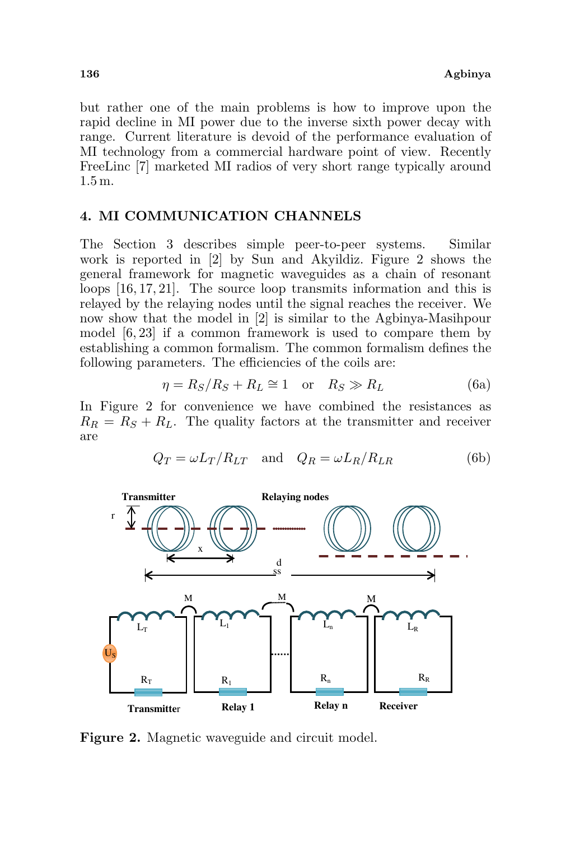but rather one of the main problems is how to improve upon the rapid decline in MI power due to the inverse sixth power decay with range. Current literature is devoid of the performance evaluation of MI technology from a commercial hardware point of view. Recently FreeLinc [7] marketed MI radios of very short range typically around 1.5 m.

## 4. MI COMMUNICATION CHANNELS

The Section 3 describes simple peer-to-peer systems. Similar work is reported in [2] by Sun and Akyildiz. Figure 2 shows the general framework for magnetic waveguides as a chain of resonant loops [16, 17, 21]. The source loop transmits information and this is relayed by the relaying nodes until the signal reaches the receiver. We now show that the model in [2] is similar to the Agbinya-Masihpour model [6, 23] if a common framework is used to compare them by establishing a common formalism. The common formalism defines the following parameters. The efficiencies of the coils are:

$$
\eta = R_S/R_S + R_L \cong 1 \quad \text{or} \quad R_S \gg R_L \tag{6a}
$$

In Figure 2 for convenience we have combined the resistances as  $R_R = R_S + R_L$ . The quality factors at the transmitter and receiver are

$$
Q_T = \omega L_T / R_{LT} \quad \text{and} \quad Q_R = \omega L_R / R_{LR} \tag{6b}
$$



Figure 2. Magnetic waveguide and circuit model.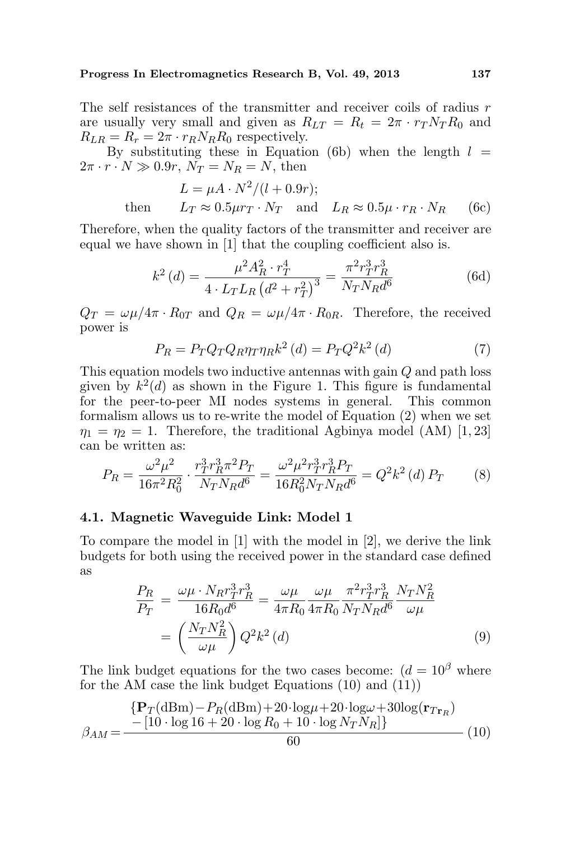The self resistances of the transmitter and receiver coils of radius r are usually very small and given as  $R_{LT} = R_t = 2\pi \cdot r_T N_T R_0$  and  $R_{LR} = R_r = 2\pi \cdot r_R N_R R_0$  respectively.

By substituting these in Equation (6b) when the length  $l =$  $2\pi \cdot r \cdot N \gg 0.9r$ ,  $N_T = N_R = N$ , then

$$
L = \mu A \cdot N^2 / (l + 0.9r);
$$
  
then 
$$
L_T \approx 0.5 \mu r_T \cdot N_T \text{ and } L_R \approx 0.5 \mu \cdot r_R \cdot N_R
$$
 (6c)

Therefore, when the quality factors of the transmitter and receiver are equal we have shown in [1] that the coupling coefficient also is.

$$
k^{2}\left(d\right) = \frac{\mu^{2}A_{R}^{2} \cdot r_{T}^{4}}{4 \cdot L_{T}L_{R}\left(d^{2} + r_{T}^{2}\right)^{3}} = \frac{\pi^{2}r_{T}^{3}r_{R}^{3}}{N_{T}N_{R}d^{6}}\tag{6d}
$$

 $Q_T = \omega \mu / 4\pi \cdot R_{0T}$  and  $Q_R = \omega \mu / 4\pi \cdot R_{0R}$ . Therefore, the received power is

$$
P_R = P_T Q_T Q_R \eta_T \eta_R k^2 \left(d\right) = P_T Q^2 k^2 \left(d\right) \tag{7}
$$

This equation models two inductive antennas with gain Q and path loss given by  $k^2(d)$  as shown in the Figure 1. This figure is fundamental for the peer-to-peer MI nodes systems in general. This common formalism allows us to re-write the model of Equation (2) when we set  $\eta_1 = \eta_2 = 1$ . Therefore, the traditional Agbinya model (AM) [1, 23] can be written as:

$$
P_R = \frac{\omega^2 \mu^2}{16\pi^2 R_0^2} \cdot \frac{r_T^3 r_R^3 \pi^2 P_T}{N_T N_R d^6} = \frac{\omega^2 \mu^2 r_T^3 r_R^3 P_T}{16R_0^2 N_T N_R d^6} = Q^2 k^2 \, (d) \, P_T \tag{8}
$$

#### 4.1. Magnetic Waveguide Link: Model 1

To compare the model in [1] with the model in [2], we derive the link budgets for both using the received power in the standard case defined as

$$
\frac{P_R}{P_T} = \frac{\omega \mu \cdot N_R r_T^3 r_R^3}{16 R_0 d^6} = \frac{\omega \mu}{4 \pi R_0} \frac{\omega \mu}{4 \pi R_0} \frac{\pi^2 r_T^3 r_R^3}{N_T N_R d^6} \frac{N_T N_R^2}{\omega \mu} \n= \left(\frac{N_T N_R^2}{\omega \mu}\right) Q^2 k^2 (d)
$$
\n(9)

The link budget equations for the two cases become:  $(d = 10^{\beta}$  where for the AM case the link budget Equations (10) and (11))

$$
\beta_{AM} = \frac{\{ \mathbf{P}_T (\text{dBm}) - P_R (\text{dBm}) + 20 \cdot \log \mu + 20 \cdot \log \omega + 30 \log(\mathbf{r}_{Tr_R})}{- [10 \cdot \log 16 + 20 \cdot \log R_0 + 10 \cdot \log N_T N_R] \}} \tag{10}
$$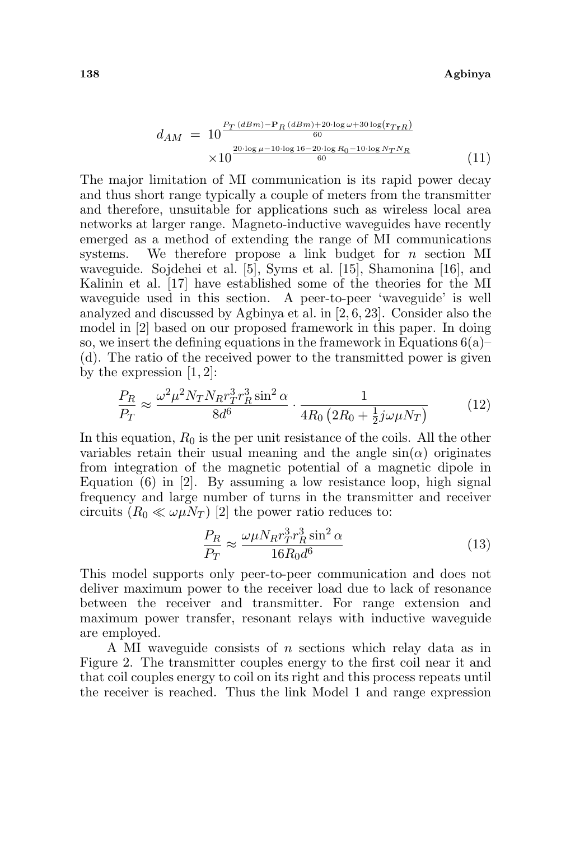$$
d_{AM} = 10 \frac{P_T (dBm) - P_R (dBm) + 20 \log \omega + 30 \log(r_{TrR})}{60}
$$
  
 
$$
\times 10 \frac{20 \log \mu - 10 \log 16 - 20 \log R_0 - 10 \log N_T N_R}{60}
$$
 (11)

The major limitation of MI communication is its rapid power decay and thus short range typically a couple of meters from the transmitter and therefore, unsuitable for applications such as wireless local area networks at larger range. Magneto-inductive waveguides have recently emerged as a method of extending the range of MI communications systems. We therefore propose a link budget for n section MI waveguide. Sojdehei et al. [5], Syms et al. [15], Shamonina [16], and Kalinin et al. [17] have established some of the theories for the MI waveguide used in this section. A peer-to-peer 'waveguide' is well analyzed and discussed by Agbinya et al. in [2, 6, 23]. Consider also the model in [2] based on our proposed framework in this paper. In doing so, we insert the defining equations in the framework in Equations  $6(a)$ – (d). The ratio of the received power to the transmitted power is given by the expression  $[1, 2]$ :

$$
\frac{P_R}{P_T} \approx \frac{\omega^2 \mu^2 N_T N_R r_T^3 r_R^3 \sin^2 \alpha}{8d^6} \cdot \frac{1}{4R_0 \left(2R_0 + \frac{1}{2}j\omega\mu N_T\right)}\tag{12}
$$

In this equation,  $R_0$  is the per unit resistance of the coils. All the other variables retain their usual meaning and the angle  $sin(\alpha)$  originates from integration of the magnetic potential of a magnetic dipole in Equation (6) in [2]. By assuming a low resistance loop, high signal frequency and large number of turns in the transmitter and receiver circuits  $(R_0 \ll \omega \mu N_T)$  [2] the power ratio reduces to:

$$
\frac{P_R}{P_T} \approx \frac{\omega \mu N_R r_T^3 r_R^3 \sin^2 \alpha}{16R_0 d^6} \tag{13}
$$

This model supports only peer-to-peer communication and does not deliver maximum power to the receiver load due to lack of resonance between the receiver and transmitter. For range extension and maximum power transfer, resonant relays with inductive waveguide are employed.

A MI waveguide consists of  $n$  sections which relay data as in Figure 2. The transmitter couples energy to the first coil near it and that coil couples energy to coil on its right and this process repeats until the receiver is reached. Thus the link Model 1 and range expression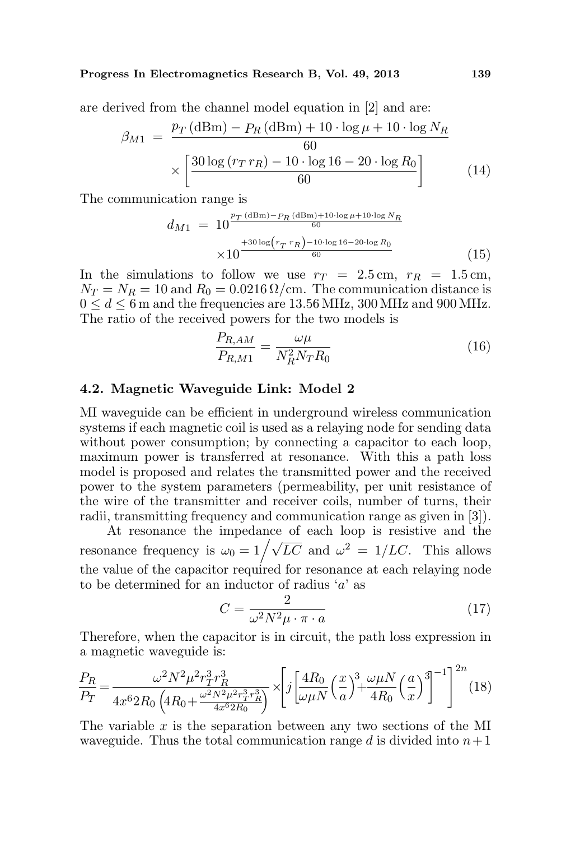are derived from the channel model equation in [2] and are:

$$
\beta_{M1} = \frac{p_T (\text{dBm}) - p_R (\text{dBm}) + 10 \cdot \log \mu + 10 \cdot \log N_R}{60} \times \left[ \frac{30 \log (r_T r_R) - 10 \cdot \log 16 - 20 \cdot \log R_0}{60} \right]
$$
(14)

The communication range is

$$
d_{M1} = 10^{\frac{p_T (\text{dBm}) - p_R (\text{dBm}) + 10 \cdot \log \mu + 10 \cdot \log N_R}{60}} \times 10^{\frac{+30 \log (r_T \cdot r_R) - 10 \cdot \log 16 - 20 \cdot \log R_0}{60}} \tag{15}
$$

In the simulations to follow we use  $r_T = 2.5 \text{ cm}, r_R = 1.5 \text{ cm},$  $N_T = N_R = 10$  and  $R_0 = 0.0216 \Omega$ /cm. The communication distance is  $0 \leq d \leq 6$  m and the frequencies are 13.56 MHz, 300 MHz and 900 MHz. The ratio of the received powers for the two models is

$$
\frac{P_{R,AM}}{P_{R,M1}} = \frac{\omega\mu}{N_R^2 N_T R_0} \tag{16}
$$

## 4.2. Magnetic Waveguide Link: Model 2

MI waveguide can be efficient in underground wireless communication systems if each magnetic coil is used as a relaying node for sending data without power consumption; by connecting a capacitor to each loop, maximum power is transferred at resonance. With this a path loss model is proposed and relates the transmitted power and the received power to the system parameters (permeability, per unit resistance of the wire of the transmitter and receiver coils, number of turns, their radii, transmitting frequency and communication range as given in [3]).

At resonance the impedance of each loop is resistive and the At resonance the impedance of each loop is resistive and the resonance frequency is  $\omega_0 = 1/\sqrt{LC}$  and  $\omega^2 = 1/LC$ . This allows the value of the capacitor required for resonance at each relaying node to be determined for an inductor of radius  $a'$  as

$$
C = \frac{2}{\omega^2 N^2 \mu \cdot \pi \cdot a} \tag{17}
$$

Therefore, when the capacitor is in circuit, the path loss expression in a magnetic waveguide is:

$$
\frac{P_R}{P_T} = \frac{\omega^2 N^2 \mu^2 r_T^3 r_R^3}{4x^6 2R_0 \left(4R_0 + \frac{\omega^2 N^2 \mu^2 r_T^3 r_R^3}{4x^6 2R_0}\right)} \times \left[j\left[\frac{4R_0}{\omega \mu N}\left(\frac{x}{a}\right)^3 + \frac{\omega \mu N}{4R_0}\left(\frac{a}{x}\right)^3\right]^{-1}\right]^{2n} (18)
$$

The variable  $x$  is the separation between any two sections of the MI waveguide. Thus the total communication range d is divided into  $n+1$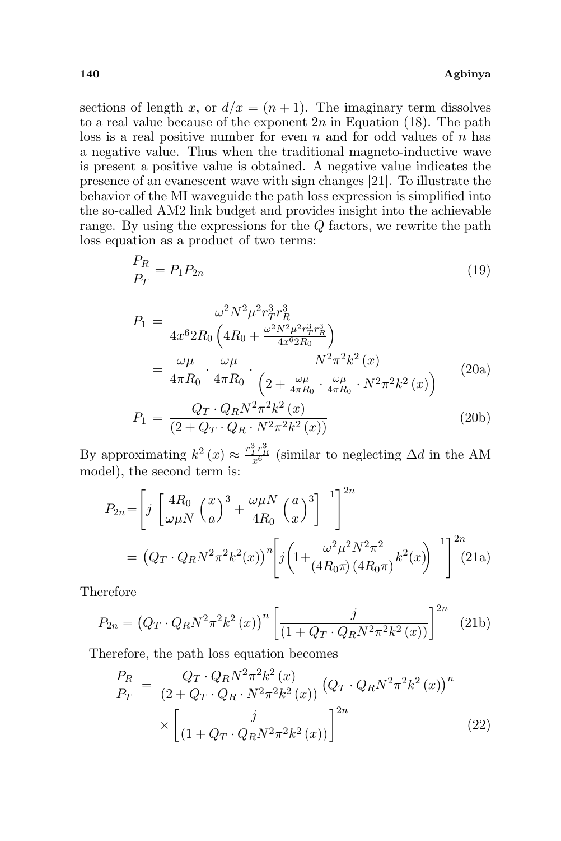### 140 Agbinya

sections of length x, or  $d/x = (n + 1)$ . The imaginary term dissolves to a real value because of the exponent  $2n$  in Equation (18). The path loss is a real positive number for even  $n$  and for odd values of  $n$  has a negative value. Thus when the traditional magneto-inductive wave is present a positive value is obtained. A negative value indicates the presence of an evanescent wave with sign changes [21]. To illustrate the behavior of the MI waveguide the path loss expression is simplified into the so-called AM2 link budget and provides insight into the achievable range. By using the expressions for the Q factors, we rewrite the path loss equation as a product of two terms:

$$
\frac{P_R}{P_T} = P_1 P_{2n} \tag{19}
$$

$$
P_{1} = \frac{\omega^{2} N^{2} \mu^{2} r_{T}^{3} r_{R}^{3}}{4x^{6} 2R_{0} \left(4R_{0} + \frac{\omega^{2} N^{2} \mu^{2} r_{T}^{3} r_{R}^{3}}{4x^{6} 2R_{0}}\right)}
$$
  
= 
$$
\frac{\omega \mu}{4\pi R_{0}} \cdot \frac{\omega \mu}{4\pi R_{0}} \cdot \frac{N^{2} \pi^{2} k^{2} (x)}{\left(2 + \frac{\omega \mu}{4\pi R_{0}} \cdot \frac{\omega \mu}{4\pi R_{0}} \cdot N^{2} \pi^{2} k^{2} (x)\right)}
$$
(20a)

$$
P_1 = \frac{Q_T \cdot Q_R N^2 \pi^2 k^2 (x)}{(2 + Q_T \cdot Q_R \cdot N^2 \pi^2 k^2 (x))}
$$
(20b)

By approximating  $k^2(x) \approx \frac{r_T^3 r_R^3}{x^6}$  (similar to neglecting  $\Delta d$  in the AM model), the second term is:

$$
P_{2n} = \left[ j \left[ \frac{4R_0}{\omega \mu N} \left( \frac{x}{a} \right)^3 + \frac{\omega \mu N}{4R_0} \left( \frac{a}{x} \right)^3 \right]^{-1} \right]^{2n}
$$
  
=  $(Q_T \cdot Q_R N^2 \pi^2 k^2(x))^n \left[ j \left( 1 + \frac{\omega^2 \mu^2 N^2 \pi^2}{(4R_0 \pi)(4R_0 \pi)} k^2(x) \right)^{-1} \right]^{2n} (21a)$ 

Therefore

$$
P_{2n} = (Q_T \cdot Q_R N^2 \pi^2 k^2 (x))^n \left[ \frac{j}{(1 + Q_T \cdot Q_R N^2 \pi^2 k^2 (x))} \right]^{2n}
$$
 (21b)

Therefore, the path loss equation becomes

$$
\frac{P_R}{P_T} = \frac{Q_T \cdot Q_R N^2 \pi^2 k^2 (x)}{(2 + Q_T \cdot Q_R \cdot N^2 \pi^2 k^2 (x))} (Q_T \cdot Q_R N^2 \pi^2 k^2 (x))^n
$$

$$
\times \left[ \frac{j}{(1 + Q_T \cdot Q_R N^2 \pi^2 k^2 (x))} \right]^{2n} \tag{22}
$$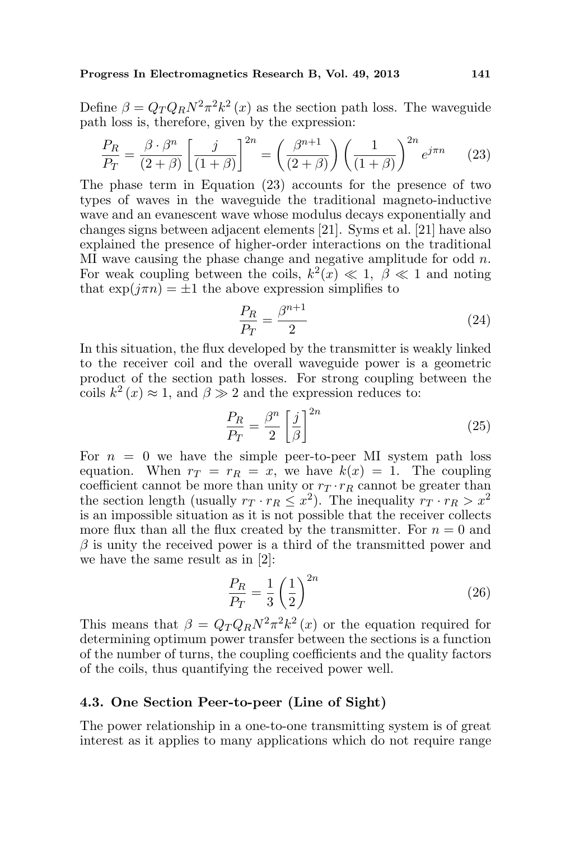Define  $\beta = Q_T Q_R N^2 \pi^2 k^2(x)$  as the section path loss. The waveguide path loss is, therefore, given by the expression:

$$
\frac{P_R}{P_T} = \frac{\beta \cdot \beta^n}{(2+\beta)} \left[ \frac{j}{(1+\beta)} \right]^{2n} = \left( \frac{\beta^{n+1}}{(2+\beta)} \right) \left( \frac{1}{(1+\beta)} \right)^{2n} e^{j\pi n} \tag{23}
$$

The phase term in Equation (23) accounts for the presence of two types of waves in the waveguide the traditional magneto-inductive wave and an evanescent wave whose modulus decays exponentially and changes signs between adjacent elements [21]. Syms et al. [21] have also explained the presence of higher-order interactions on the traditional MI wave causing the phase change and negative amplitude for odd  $n$ . For weak coupling between the coils,  $k^2(x) \ll 1$ ,  $\beta \ll 1$  and noting that  $\exp(i\pi n) = \pm 1$  the above expression simplifies to

$$
\frac{P_R}{P_T} = \frac{\beta^{n+1}}{2} \tag{24}
$$

In this situation, the flux developed by the transmitter is weakly linked to the receiver coil and the overall waveguide power is a geometric product of the section path losses. For strong coupling between the coils  $k^2(x) \approx 1$ , and  $\beta \gg 2$  and the expression reduces to:

$$
\frac{P_R}{P_T} = \frac{\beta^n}{2} \left[ \frac{j}{\beta} \right]^{2n} \tag{25}
$$

For  $n = 0$  we have the simple peer-to-peer MI system path loss equation. When  $r_T = r_R = x$ , we have  $k(x) = 1$ . The coupling coefficient cannot be more than unity or  $r<sub>T</sub> \cdot r<sub>R</sub>$  cannot be greater than the section length (usually  $r_T \cdot r_R \leq x^2$ ). The inequality  $r_T \cdot r_R > x^2$ is an impossible situation as it is not possible that the receiver collects more flux than all the flux created by the transmitter. For  $n = 0$  and  $\beta$  is unity the received power is a third of the transmitted power and we have the same result as in [2]:

$$
\frac{P_R}{P_T} = \frac{1}{3} \left(\frac{1}{2}\right)^{2n} \tag{26}
$$

This means that  $\beta = Q_T Q_R N^2 \pi^2 k^2(x)$  or the equation required for determining optimum power transfer between the sections is a function of the number of turns, the coupling coefficients and the quality factors of the coils, thus quantifying the received power well.

### 4.3. One Section Peer-to-peer (Line of Sight)

The power relationship in a one-to-one transmitting system is of great interest as it applies to many applications which do not require range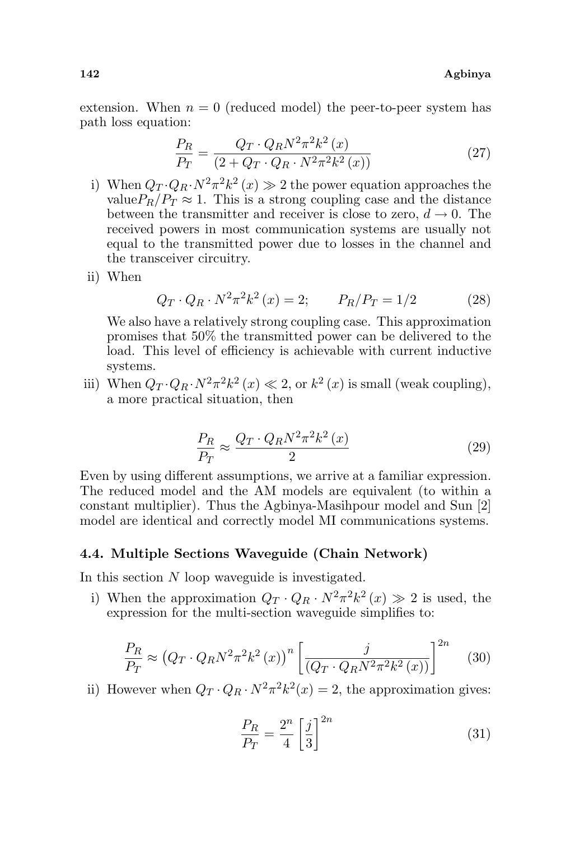extension. When  $n = 0$  (reduced model) the peer-to-peer system has path loss equation:

$$
\frac{P_R}{P_T} = \frac{Q_T \cdot Q_R N^2 \pi^2 k^2 (x)}{(2 + Q_T \cdot Q_R \cdot N^2 \pi^2 k^2 (x))}
$$
(27)

- i) When  $Q_T \cdot Q_R \cdot N^2 \pi^2 k^2(x) \gg 2$  the power equation approaches the value $P_R/P_T \approx 1$ . This is a strong coupling case and the distance between the transmitter and receiver is close to zero,  $d \to 0$ . The received powers in most communication systems are usually not equal to the transmitted power due to losses in the channel and the transceiver circuitry.
- ii) When

$$
Q_T \cdot Q_R \cdot N^2 \pi^2 k^2 \left( x \right) = 2; \qquad P_R / P_T = 1/2 \tag{28}
$$

We also have a relatively strong coupling case. This approximation promises that 50% the transmitted power can be delivered to the load. This level of efficiency is achievable with current inductive systems.

iii) When  $Q_T \cdot Q_R \cdot N^2 \pi^2 k^2(x) \ll 2$ , or  $k^2(x)$  is small (weak coupling), a more practical situation, then

$$
\frac{P_R}{P_T} \approx \frac{Q_T \cdot Q_R N^2 \pi^2 k^2 \left(x\right)}{2} \tag{29}
$$

Even by using different assumptions, we arrive at a familiar expression. The reduced model and the AM models are equivalent (to within a constant multiplier). Thus the Agbinya-Masihpour model and Sun [2] model are identical and correctly model MI communications systems.

### 4.4. Multiple Sections Waveguide (Chain Network)

In this section N loop waveguide is investigated.

i) When the approximation  $Q_T \cdot Q_R \cdot N^2 \pi^2 k^2(x) \gg 2$  is used, the expression for the multi-section waveguide simplifies to:

$$
\frac{P_R}{P_T} \approx \left(Q_T \cdot Q_R N^2 \pi^2 k^2 \left(x\right)\right)^n \left[\frac{j}{\left(Q_T \cdot Q_R N^2 \pi^2 k^2 \left(x\right)\right)}\right]^{2n} \tag{30}
$$

ii) However when  $Q_T \cdot Q_R \cdot N^2 \pi^2 k^2(x) = 2$ , the approximation gives:

$$
\frac{P_R}{P_T} = \frac{2^n}{4} \left[\frac{j}{3}\right]^{2n} \tag{31}
$$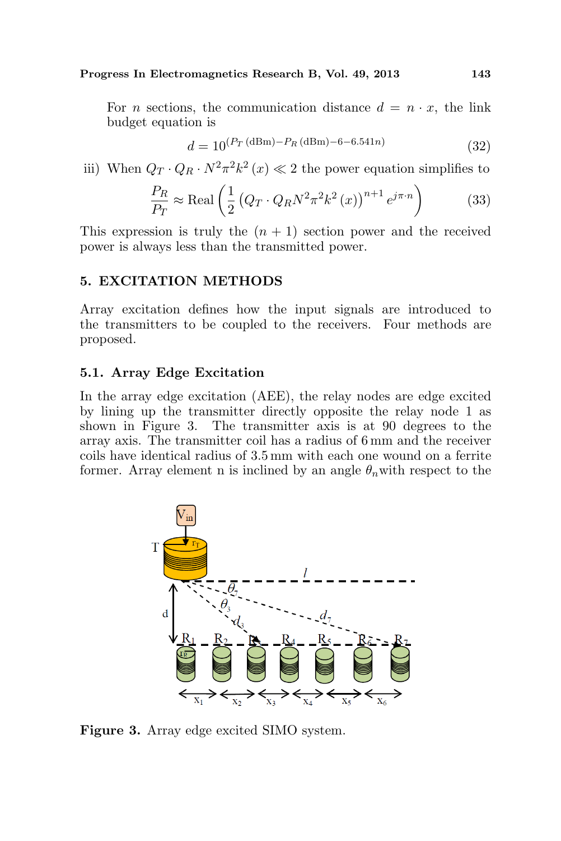For *n* sections, the communication distance  $d = n \cdot x$ , the link budget equation is

$$
d = 10^{(P_T \text{ (dBm)} - P_R \text{ (dBm)} - 6 - 6.541n)}
$$
\n(32)

iii) When  $Q_T \cdot Q_R \cdot N^2 \pi^2 k^2(x) \ll 2$  the power equation simplifies to

$$
\frac{P_R}{P_T} \approx \text{Real}\left(\frac{1}{2}\left(Q_T \cdot Q_R N^2 \pi^2 k^2\left(x\right)\right)^{n+1} e^{j\pi \cdot n}\right) \tag{33}
$$

This expression is truly the  $(n + 1)$  section power and the received power is always less than the transmitted power.

## 5. EXCITATION METHODS

Array excitation defines how the input signals are introduced to the transmitters to be coupled to the receivers. Four methods are proposed.

#### 5.1. Array Edge Excitation

In the array edge excitation (AEE), the relay nodes are edge excited by lining up the transmitter directly opposite the relay node 1 as shown in Figure 3. The transmitter axis is at 90 degrees to the array axis. The transmitter coil has a radius of 6 mm and the receiver coils have identical radius of 3.5 mm with each one wound on a ferrite former. Array element n is inclined by an angle  $\theta_n$  with respect to the



Figure 3. Array edge excited SIMO system.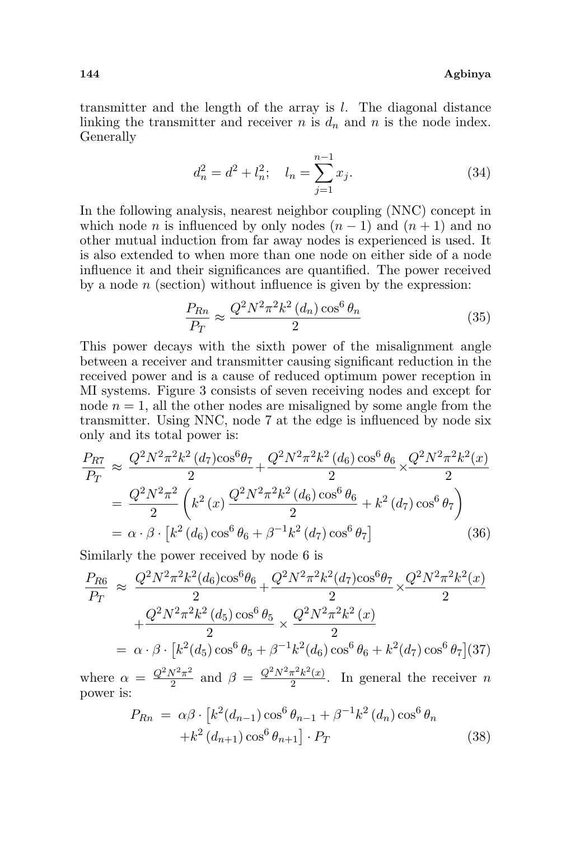transmitter and the length of the array is l. The diagonal distance linking the transmitter and receiver  $n$  is  $d_n$  and  $n$  is the node index. Generally

$$
d_n^2 = d^2 + l_n^2; \quad l_n = \sum_{j=1}^{n-1} x_j.
$$
 (34)

In the following analysis, nearest neighbor coupling (NNC) concept in which node *n* is influenced by only nodes  $(n - 1)$  and  $(n + 1)$  and no other mutual induction from far away nodes is experienced is used. It is also extended to when more than one node on either side of a node influence it and their significances are quantified. The power received by a node  $n$  (section) without influence is given by the expression:

$$
\frac{P_{Rn}}{P_T} \approx \frac{Q^2 N^2 \pi^2 k^2 (d_n) \cos^6 \theta_n}{2} \tag{35}
$$

This power decays with the sixth power of the misalignment angle between a receiver and transmitter causing significant reduction in the received power and is a cause of reduced optimum power reception in MI systems. Figure 3 consists of seven receiving nodes and except for node  $n = 1$ , all the other nodes are misaligned by some angle from the transmitter. Using NNC, node 7 at the edge is influenced by node six only and its total power is:

$$
\frac{P_{R7}}{P_T} \approx \frac{Q^2 N^2 \pi^2 k^2 (d_7) \cos^6 \theta_7}{2} + \frac{Q^2 N^2 \pi^2 k^2 (d_6) \cos^6 \theta_6}{2} \times \frac{Q^2 N^2 \pi^2 k^2 (x)}{2}
$$
\n
$$
= \frac{Q^2 N^2 \pi^2}{2} \left( k^2 (x) \frac{Q^2 N^2 \pi^2 k^2 (d_6) \cos^6 \theta_6}{2} + k^2 (d_7) \cos^6 \theta_7 \right)
$$
\n
$$
= \alpha \cdot \beta \cdot \left[ k^2 (d_6) \cos^6 \theta_6 + \beta^{-1} k^2 (d_7) \cos^6 \theta_7 \right] \tag{36}
$$

Similarly the power received by node 6 is

$$
\frac{P_{R6}}{P_T} \approx \frac{Q^2 N^2 \pi^2 k^2 (d_6) \cos^6 \theta_6}{2} + \frac{Q^2 N^2 \pi^2 k^2 (d_7) \cos^6 \theta_7}{2} \times \frac{Q^2 N^2 \pi^2 k^2 (x)}{2}
$$

$$
+ \frac{Q^2 N^2 \pi^2 k^2 (d_5) \cos^6 \theta_5}{2} \times \frac{Q^2 N^2 \pi^2 k^2 (x)}{2}
$$

$$
= \alpha \cdot \beta \cdot \left[ k^2 (d_5) \cos^6 \theta_5 + \beta^{-1} k^2 (d_6) \cos^6 \theta_6 + k^2 (d_7) \cos^6 \theta_7 \right] (37)
$$

where  $\alpha = \frac{Q^2 N^2 \pi^2}{2}$  $\frac{N^2\pi^2}{2}$  and  $\beta = \frac{Q^2N^2\pi^2k^2(x)}{2}$  $\frac{\pi^2 \kappa^2(x)}{2}$ . In general the receiver *n* power is: £

$$
P_{Rn} = \alpha \beta \cdot [k^2(d_{n-1}) \cos^6 \theta_{n-1} + \beta^{-1} k^2(d_n) \cos^6 \theta_n + k^2(d_{n+1}) \cos^6 \theta_{n+1}] \cdot P_T
$$
 (38)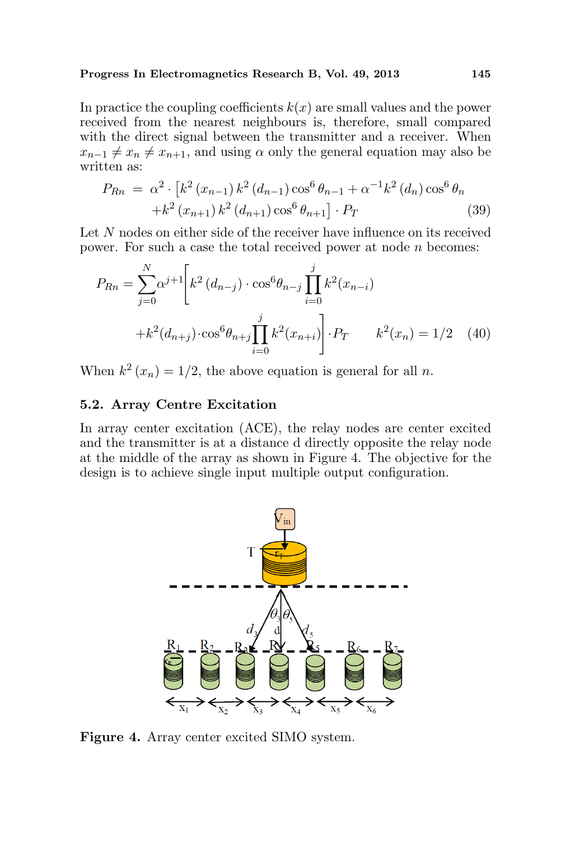In practice the coupling coefficients  $k(x)$  are small values and the power received from the nearest neighbours is, therefore, small compared with the direct signal between the transmitter and a receiver. When  $x_{n-1} \neq x_n \neq x_{n+1}$ , and using  $\alpha$  only the general equation may also be written as:

$$
P_{Rn} = \alpha^2 \cdot \left[ k^2 (x_{n-1}) k^2 (d_{n-1}) \cos^6 \theta_{n-1} + \alpha^{-1} k^2 (d_n) \cos^6 \theta_n \right. \\ \left. + k^2 (x_{n+1}) k^2 (d_{n+1}) \cos^6 \theta_{n+1} \right] \cdot P_T \tag{39}
$$

Let N nodes on either side of the receiver have influence on its received power. For such a case the total received power at node  $n$  becomes:

$$
P_{Rn} = \sum_{j=0}^{N} \alpha^{j+1} \left[ k^2 (d_{n-j}) \cdot \cos^6 \theta_{n-j} \prod_{i=0}^j k^2 (x_{n-i}) + k^2 (d_{n+j}) \cdot \cos^6 \theta_{n+j} \prod_{i=0}^j k^2 (x_{n+i}) \right] \cdot P_T \qquad k^2(x_n) = 1/2 \quad (40)
$$

When  $k^2(x_n) = 1/2$ , the above equation is general for all n.

### 5.2. Array Centre Excitation

In array center excitation (ACE), the relay nodes are center excited and the transmitter is at a distance d directly opposite the relay node at the middle of the array as shown in Figure 4. The objective for the design is to achieve single input multiple output configuration.



Figure 4. Array center excited SIMO system.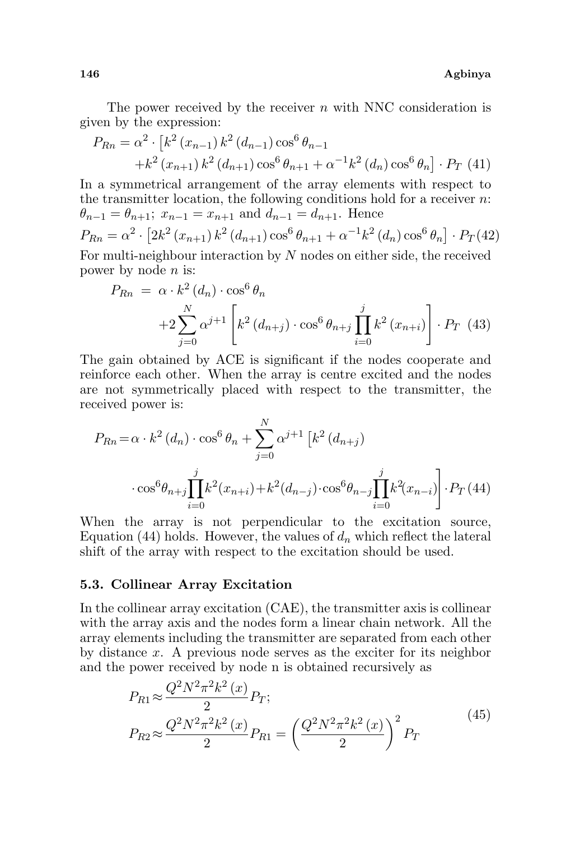The power received by the receiver  $n$  with NNC consideration is given by the expression:

$$
P_{Rn} = \alpha^2 \cdot \left[ k^2 (x_{n-1}) k^2 (d_{n-1}) \cos^6 \theta_{n-1} + k^2 (x_{n+1}) k^2 (d_{n+1}) \cos^6 \theta_{n+1} + \alpha^{-1} k^2 (d_n) \cos^6 \theta_n \right] \cdot P_T \tag{41}
$$

In a symmetrical arrangement of the array elements with respect to the transmitter location, the following conditions hold for a receiver  $n$ .  $\theta_{n-1} = \theta_{n+1}; x_{n-1} = x_{n+1}$  and  $d_{n-1} = d_{n+1}.$  Hence  $P_{Rn} = \alpha^2$ .  $\frac{1}{r}$  $2k^2 (x_{n+1}) k^2 (d_{n+1}) \cos^6 \theta_{n+1} + \alpha^{-1} k^2 (d_n) \cos^6 \theta_n$ l<br>E  $\cdot$   $P_T(42)$ For multi-neighbour interaction by  $N$  nodes on either side, the received

power by node n is:

$$
P_{Rn} = \alpha \cdot k^2 (d_n) \cdot \cos^6 \theta_n + 2 \sum_{j=0}^N \alpha^{j+1} \left[ k^2 (d_{n+j}) \cdot \cos^6 \theta_{n+j} \prod_{i=0}^j k^2 (x_{n+i}) \right] \cdot P_T \tag{43}
$$

The gain obtained by ACE is significant if the nodes cooperate and reinforce each other. When the array is centre excited and the nodes are not symmetrically placed with respect to the transmitter, the received power is:

$$
P_{Rn} = \alpha \cdot k^2 (d_n) \cdot \cos^6 \theta_n + \sum_{j=0}^N \alpha^{j+1} \left[ k^2 (d_{n+j}) \right]
$$

$$
\cdot \cos^6 \theta_{n+j} \prod_{i=0}^j k^2 (x_{n+i}) + k^2 (d_{n-j}) \cdot \cos^6 \theta_{n-j} \prod_{i=0}^j k^2 (x_{n-i}) \Bigg] \cdot P_T (44)
$$

When the array is not perpendicular to the excitation source, Equation (44) holds. However, the values of  $d_n$  which reflect the lateral shift of the array with respect to the excitation should be used.

### 5.3. Collinear Array Excitation

In the collinear array excitation (CAE), the transmitter axis is collinear with the array axis and the nodes form a linear chain network. All the array elements including the transmitter are separated from each other by distance x. A previous node serves as the exciter for its neighbor and the power received by node n is obtained recursively as

$$
P_{R1} \approx \frac{Q^2 N^2 \pi^2 k^2 (x)}{2} P_T;
$$
  
\n
$$
P_{R2} \approx \frac{Q^2 N^2 \pi^2 k^2 (x)}{2} P_{R1} = \left(\frac{Q^2 N^2 \pi^2 k^2 (x)}{2}\right)^2 P_T
$$
\n(45)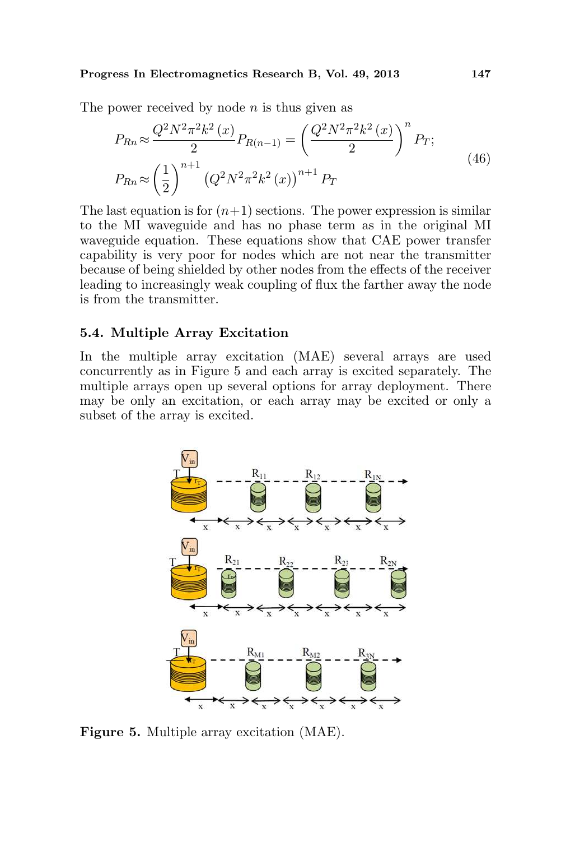The power received by node  $n$  is thus given as

$$
P_{Rn} \approx \frac{Q^2 N^2 \pi^2 k^2 (x)}{2} P_{R(n-1)} = \left(\frac{Q^2 N^2 \pi^2 k^2 (x)}{2}\right)^n P_T;
$$
  
\n
$$
P_{Rn} \approx \left(\frac{1}{2}\right)^{n+1} \left(Q^2 N^2 \pi^2 k^2 (x)\right)^{n+1} P_T
$$
\n(46)

The last equation is for  $(n+1)$  sections. The power expression is similar to the MI waveguide and has no phase term as in the original MI waveguide equation. These equations show that CAE power transfer capability is very poor for nodes which are not near the transmitter because of being shielded by other nodes from the effects of the receiver leading to increasingly weak coupling of flux the farther away the node is from the transmitter.

## 5.4. Multiple Array Excitation

In the multiple array excitation (MAE) several arrays are used concurrently as in Figure 5 and each array is excited separately. The multiple arrays open up several options for array deployment. There may be only an excitation, or each array may be excited or only a subset of the array is excited.



Figure 5. Multiple array excitation (MAE).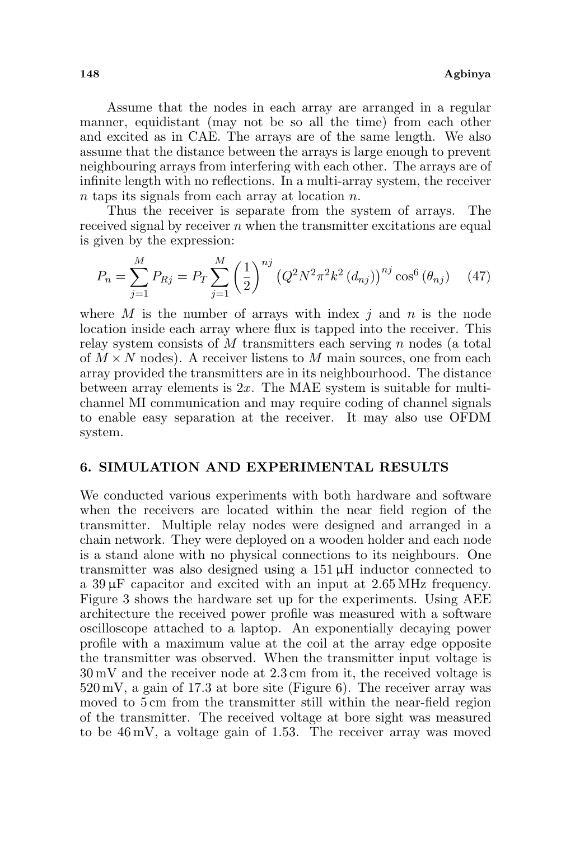Assume that the nodes in each array are arranged in a regular manner, equidistant (may not be so all the time) from each other and excited as in CAE. The arrays are of the same length. We also assume that the distance between the arrays is large enough to prevent neighbouring arrays from interfering with each other. The arrays are of infinite length with no reflections. In a multi-array system, the receiver n taps its signals from each array at location n.

Thus the receiver is separate from the system of arrays. The received signal by receiver  $n$  when the transmitter excitations are equal is given by the expression:

$$
P_n = \sum_{j=1}^{M} P_{Rj} = P_T \sum_{j=1}^{M} \left(\frac{1}{2}\right)^{nj} \left(Q^2 N^2 \pi^2 k^2 \left(d_{nj}\right)\right)^{nj} \cos^6\left(\theta_{nj}\right) \tag{47}
$$

where M is the number of arrays with index j and n is the node location inside each array where flux is tapped into the receiver. This relay system consists of  $M$  transmitters each serving  $n$  nodes (a total of  $M \times N$  nodes). A receiver listens to M main sources, one from each array provided the transmitters are in its neighbourhood. The distance between array elements is  $2x$ . The MAE system is suitable for multichannel MI communication and may require coding of channel signals to enable easy separation at the receiver. It may also use OFDM system.

### 6. SIMULATION AND EXPERIMENTAL RESULTS

We conducted various experiments with both hardware and software when the receivers are located within the near field region of the transmitter. Multiple relay nodes were designed and arranged in a chain network. They were deployed on a wooden holder and each node is a stand alone with no physical connections to its neighbours. One transmitter was also designed using a 151 µH inductor connected to a  $39 \mu$ F capacitor and excited with an input at  $2.65 \text{ MHz}$  frequency. Figure 3 shows the hardware set up for the experiments. Using AEE architecture the received power profile was measured with a software oscilloscope attached to a laptop. An exponentially decaying power profile with a maximum value at the coil at the array edge opposite the transmitter was observed. When the transmitter input voltage is 30 mV and the receiver node at 2.3 cm from it, the received voltage is 520 mV, a gain of 17.3 at bore site (Figure 6). The receiver array was moved to 5 cm from the transmitter still within the near-field region of the transmitter. The received voltage at bore sight was measured to be 46 mV, a voltage gain of 1.53. The receiver array was moved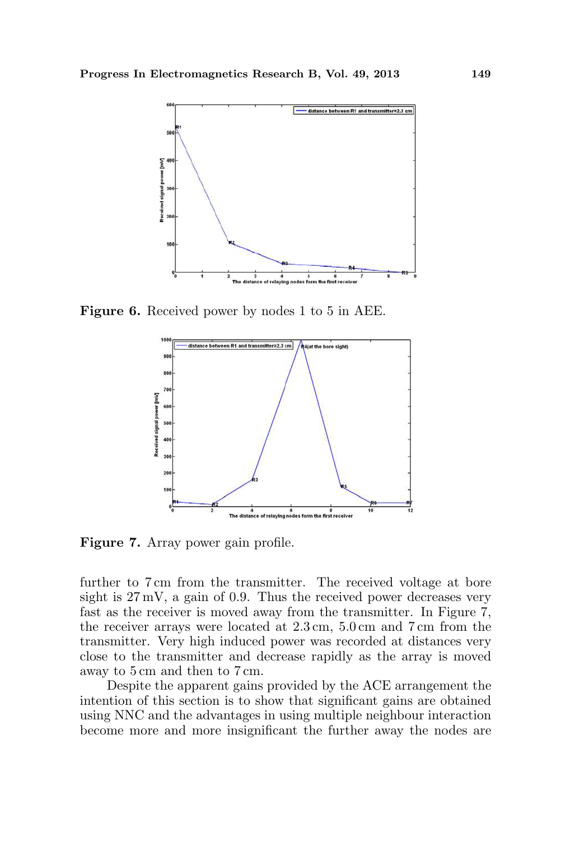

Figure 6. Received power by nodes 1 to 5 in AEE.



Figure 7. Array power gain profile.

further to 7 cm from the transmitter. The received voltage at bore sight is  $27 \text{ mV}$ , a gain of 0.9. Thus the received power decreases very fast as the receiver is moved away from the transmitter. In Figure 7, the receiver arrays were located at 2.3 cm, 5.0 cm and 7 cm from the transmitter. Very high induced power was recorded at distances very close to the transmitter and decrease rapidly as the array is moved away to 5 cm and then to 7 cm.

Despite the apparent gains provided by the ACE arrangement the intention of this section is to show that significant gains are obtained using NNC and the advantages in using multiple neighbour interaction become more and more insignificant the further away the nodes are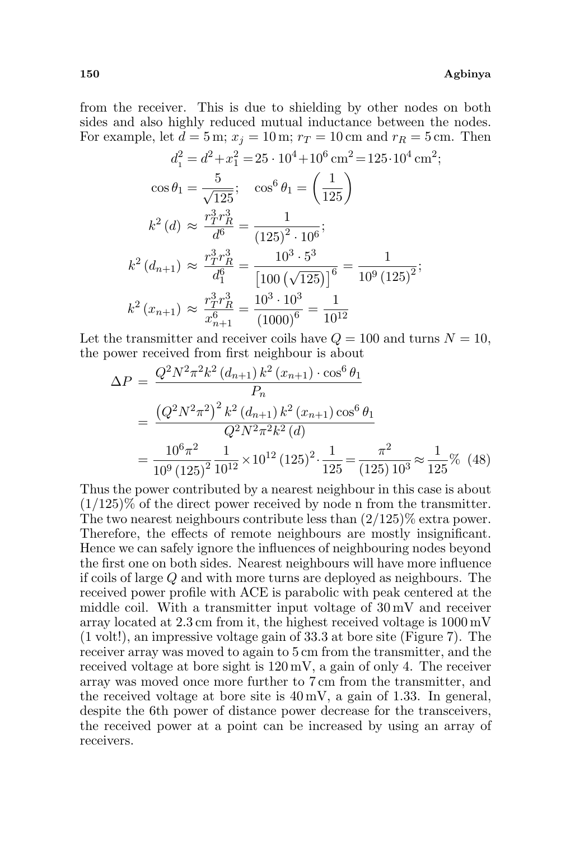from the receiver. This is due to shielding by other nodes on both sides and also highly reduced mutual inductance between the nodes. For example, let  $d = 5$  m;  $x<sub>i</sub> = 10$  m;  $r<sub>T</sub> = 10$  cm and  $r<sub>R</sub> = 5$  cm. Then

$$
d_1^2 = d^2 + x_1^2 = 25 \cdot 10^4 + 10^6 \text{ cm}^2 = 125 \cdot 10^4 \text{ cm}^2;
$$
  
\n
$$
\cos \theta_1 = \frac{5}{\sqrt{125}}; \quad \cos^6 \theta_1 = \left(\frac{1}{125}\right)
$$
  
\n
$$
k^2 \left(d\right) \approx \frac{r_1^3 r_R^3}{d^6} = \frac{1}{(125)^2 \cdot 10^6};
$$
  
\n
$$
k^2 \left(d_{n+1}\right) \approx \frac{r_1^3 r_R^3}{d_1^6} = \frac{10^3 \cdot 5^3}{\left[100\left(\sqrt{125}\right)\right]^6} = \frac{1}{10^9 \left(125\right)^2};
$$
  
\n
$$
k^2 \left(x_{n+1}\right) \approx \frac{r_1^3 r_R^3}{x_{n+1}^6} = \frac{10^3 \cdot 10^3}{\left(1000\right)^6} = \frac{1}{10^{12}}
$$

Let the transmitter and receiver coils have  $Q = 100$  and turns  $N = 10$ , the power received from first neighbour is about

$$
\Delta P = \frac{Q^2 N^2 \pi^2 k^2 (d_{n+1}) k^2 (x_{n+1}) \cdot \cos^6 \theta_1}{P_n}
$$
  
= 
$$
\frac{(Q^2 N^2 \pi^2)^2 k^2 (d_{n+1}) k^2 (x_{n+1}) \cos^6 \theta_1}{Q^2 N^2 \pi^2 k^2 (d)}
$$
  
= 
$$
\frac{10^6 \pi^2}{10^9 (125)^2} \frac{1}{10^{12}} \times 10^{12} (125)^2 \cdot \frac{1}{125} = \frac{\pi^2}{(125) 10^3} \approx \frac{1}{125} \% \quad (48)
$$

Thus the power contributed by a nearest neighbour in this case is about  $(1/125)\%$  of the direct power received by node n from the transmitter. The two nearest neighbours contribute less than (2/125)% extra power. Therefore, the effects of remote neighbours are mostly insignificant. Hence we can safely ignore the influences of neighbouring nodes beyond the first one on both sides. Nearest neighbours will have more influence if coils of large Q and with more turns are deployed as neighbours. The received power profile with ACE is parabolic with peak centered at the middle coil. With a transmitter input voltage of 30 mV and receiver array located at 2.3 cm from it, the highest received voltage is 1000 mV (1 volt!), an impressive voltage gain of 33.3 at bore site (Figure 7). The receiver array was moved to again to 5 cm from the transmitter, and the received voltage at bore sight is 120 mV, a gain of only 4. The receiver array was moved once more further to 7 cm from the transmitter, and the received voltage at bore site is 40 mV, a gain of 1.33. In general, despite the 6th power of distance power decrease for the transceivers, the received power at a point can be increased by using an array of receivers.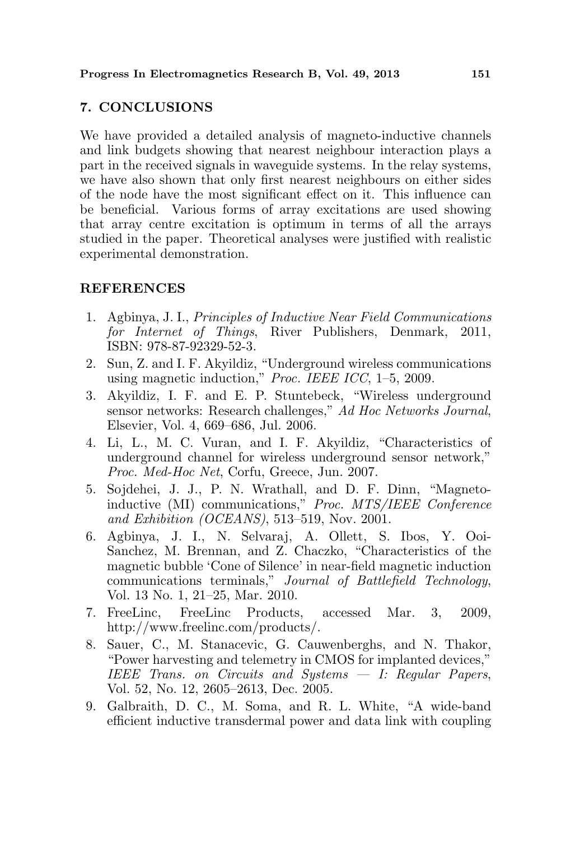# 7. CONCLUSIONS

We have provided a detailed analysis of magneto-inductive channels and link budgets showing that nearest neighbour interaction plays a part in the received signals in waveguide systems. In the relay systems, we have also shown that only first nearest neighbours on either sides of the node have the most significant effect on it. This influence can be beneficial. Various forms of array excitations are used showing that array centre excitation is optimum in terms of all the arrays studied in the paper. Theoretical analyses were justified with realistic experimental demonstration.

## REFERENCES

- 1. Agbinya, J. I., Principles of Inductive Near Field Communications for Internet of Things, River Publishers, Denmark, 2011, ISBN: 978-87-92329-52-3.
- 2. Sun, Z. and I. F. Akyildiz, "Underground wireless communications using magnetic induction," Proc. IEEE ICC, 1–5, 2009.
- 3. Akyildiz, I. F. and E. P. Stuntebeck, "Wireless underground sensor networks: Research challenges," Ad Hoc Networks Journal, Elsevier, Vol. 4, 669–686, Jul. 2006.
- 4. Li, L., M. C. Vuran, and I. F. Akyildiz, "Characteristics of underground channel for wireless underground sensor network," Proc. Med-Hoc Net, Corfu, Greece, Jun. 2007.
- 5. Sojdehei, J. J., P. N. Wrathall, and D. F. Dinn, "Magnetoinductive (MI) communications," Proc. MTS/IEEE Conference and Exhibition (OCEANS), 513–519, Nov. 2001.
- 6. Agbinya, J. I., N. Selvaraj, A. Ollett, S. Ibos, Y. Ooi-Sanchez, M. Brennan, and Z. Chaczko, "Characteristics of the magnetic bubble 'Cone of Silence' in near-field magnetic induction communications terminals," Journal of Battlefield Technology, Vol. 13 No. 1, 21–25, Mar. 2010.
- 7. FreeLinc, FreeLinc Products, accessed Mar. 3, 2009, http://www.freelinc.com/products/.
- 8. Sauer, C., M. Stanacevic, G. Cauwenberghs, and N. Thakor, "Power harvesting and telemetry in CMOS for implanted devices," IEEE Trans. on Circuits and Systems — I: Regular Papers, Vol. 52, No. 12, 2605–2613, Dec. 2005.
- 9. Galbraith, D. C., M. Soma, and R. L. White, "A wide-band efficient inductive transdermal power and data link with coupling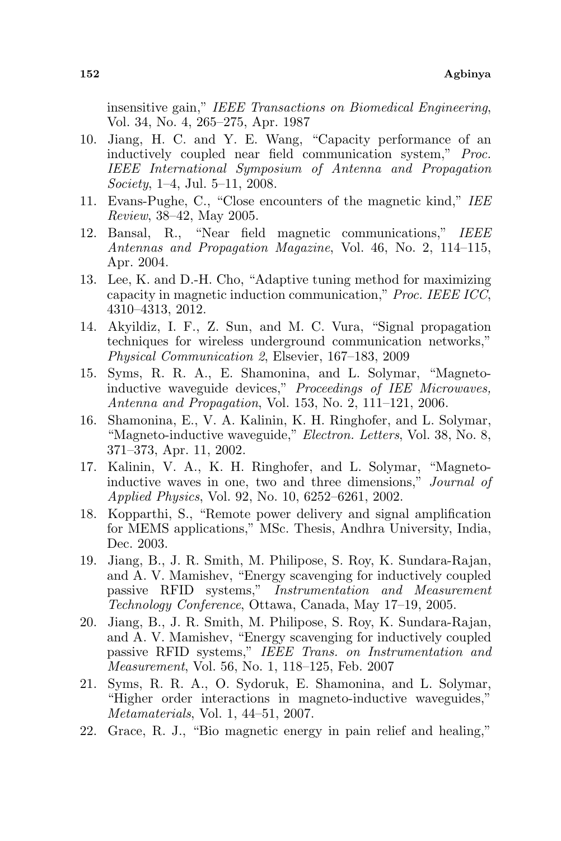insensitive gain," IEEE Transactions on Biomedical Engineering, Vol. 34, No. 4, 265–275, Apr. 1987

- 10. Jiang, H. C. and Y. E. Wang, "Capacity performance of an inductively coupled near field communication system," Proc. IEEE International Symposium of Antenna and Propagation Society, 1–4, Jul. 5–11, 2008.
- 11. Evans-Pughe, C., "Close encounters of the magnetic kind," IEE Review, 38–42, May 2005.
- 12. Bansal, R., "Near field magnetic communications," IEEE Antennas and Propagation Magazine, Vol. 46, No. 2, 114–115, Apr. 2004.
- 13. Lee, K. and D.-H. Cho, "Adaptive tuning method for maximizing capacity in magnetic induction communication," Proc. IEEE ICC, 4310–4313, 2012.
- 14. Akyildiz, I. F., Z. Sun, and M. C. Vura, "Signal propagation techniques for wireless underground communication networks," Physical Communication 2, Elsevier, 167–183, 2009
- 15. Syms, R. R. A., E. Shamonina, and L. Solymar, "Magnetoinductive waveguide devices," Proceedings of IEE Microwaves, Antenna and Propagation, Vol. 153, No. 2, 111–121, 2006.
- 16. Shamonina, E., V. A. Kalinin, K. H. Ringhofer, and L. Solymar, "Magneto-inductive waveguide," Electron. Letters, Vol. 38, No. 8, 371–373, Apr. 11, 2002.
- 17. Kalinin, V. A., K. H. Ringhofer, and L. Solymar, "Magnetoinductive waves in one, two and three dimensions," Journal of Applied Physics, Vol. 92, No. 10, 6252–6261, 2002.
- 18. Kopparthi, S., "Remote power delivery and signal amplification for MEMS applications," MSc. Thesis, Andhra University, India, Dec. 2003.
- 19. Jiang, B., J. R. Smith, M. Philipose, S. Roy, K. Sundara-Rajan, and A. V. Mamishev, "Energy scavenging for inductively coupled passive RFID systems," Instrumentation and Measurement Technology Conference, Ottawa, Canada, May 17–19, 2005.
- 20. Jiang, B., J. R. Smith, M. Philipose, S. Roy, K. Sundara-Rajan, and A. V. Mamishev, "Energy scavenging for inductively coupled passive RFID systems," IEEE Trans. on Instrumentation and Measurement, Vol. 56, No. 1, 118–125, Feb. 2007
- 21. Syms, R. R. A., O. Sydoruk, E. Shamonina, and L. Solymar, "Higher order interactions in magneto-inductive waveguides," Metamaterials, Vol. 1, 44–51, 2007.
- 22. Grace, R. J., "Bio magnetic energy in pain relief and healing,"